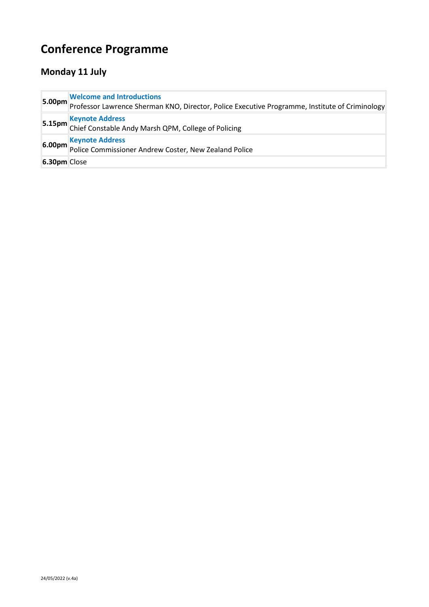## **Conference Programme**

## **Monday 11 July**

|              | <b>Welcome and Introductions</b><br><b>5.00pm</b><br>Professor Lawrence Sherman KNO, Director, Police Executive Programme, Institute of Criminology |
|--------------|-----------------------------------------------------------------------------------------------------------------------------------------------------|
|              | <b>5.15pm</b> Keynote Address<br><b>5.15pm</b> Chief Constable Andy Marsh QPM, College of Policing                                                  |
|              | <b>6.00pm Keynote Address</b><br><b>6.00pm</b> Police Commissioner Andrew Coster, New Zealand Police                                                |
| 6.30pm Close |                                                                                                                                                     |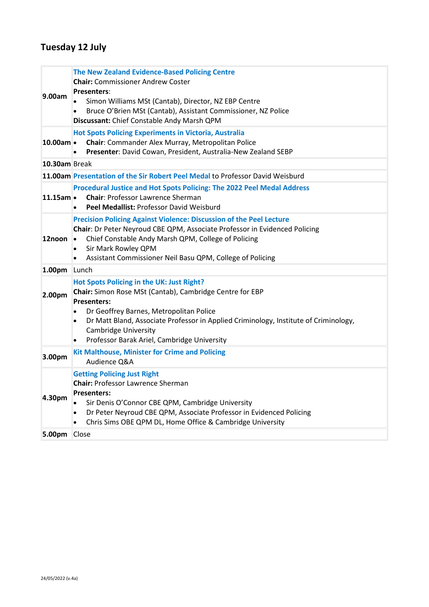## **Tuesday 12 July**

| 9.00am               | <b>The New Zealand Evidence-Based Policing Centre</b><br><b>Chair:</b> Commissioner Andrew Coster<br><b>Presenters:</b><br>Simon Williams MSt (Cantab), Director, NZ EBP Centre<br>Bruce O'Brien MSt (Cantab), Assistant Commissioner, NZ Police<br>٠<br>Discussant: Chief Constable Andy Marsh QPM                                                                    |
|----------------------|------------------------------------------------------------------------------------------------------------------------------------------------------------------------------------------------------------------------------------------------------------------------------------------------------------------------------------------------------------------------|
| 10.00am ·            | <b>Hot Spots Policing Experiments in Victoria, Australia</b><br>Chair: Commander Alex Murray, Metropolitan Police<br>Presenter: David Cowan, President, Australia-New Zealand SEBP<br>$\bullet$                                                                                                                                                                        |
| 10.30am Break        |                                                                                                                                                                                                                                                                                                                                                                        |
|                      | 11.00am Presentation of the Sir Robert Peel Medal to Professor David Weisburd                                                                                                                                                                                                                                                                                          |
| $11.15$ am $\bullet$ | Procedural Justice and Hot Spots Policing: The 2022 Peel Medal Address<br><b>Chair: Professor Lawrence Sherman</b><br>Peel Medallist: Professor David Weisburd                                                                                                                                                                                                         |
| 12noon               | <b>Precision Policing Against Violence: Discussion of the Peel Lecture</b><br>Chair: Dr Peter Neyroud CBE QPM, Associate Professor in Evidenced Policing<br>Chief Constable Andy Marsh QPM, College of Policing<br>$\bullet$<br>Sir Mark Rowley QPM<br>$\bullet$<br>Assistant Commissioner Neil Basu QPM, College of Policing<br>$\bullet$                             |
| 1.00pm               | Lunch                                                                                                                                                                                                                                                                                                                                                                  |
| 2.00pm               | Hot Spots Policing in the UK: Just Right?<br>Chair: Simon Rose MSt (Cantab), Cambridge Centre for EBP<br><b>Presenters:</b><br>Dr Geoffrey Barnes, Metropolitan Police<br>$\bullet$<br>Dr Matt Bland, Associate Professor in Applied Criminology, Institute of Criminology,<br>$\bullet$<br><b>Cambridge University</b><br>Professor Barak Ariel, Cambridge University |
| 3.00pm               | <b>Kit Malthouse, Minister for Crime and Policing</b><br>Audience Q&A                                                                                                                                                                                                                                                                                                  |
| 4.30pm               | <b>Getting Policing Just Right</b><br><b>Chair: Professor Lawrence Sherman</b><br><b>Presenters:</b><br>Sir Denis O'Connor CBE QPM, Cambridge University<br>Dr Peter Neyroud CBE QPM, Associate Professor in Evidenced Policing<br>$\bullet$<br>Chris Sims OBE QPM DL, Home Office & Cambridge University<br>٠                                                         |
| 5.00pm               | Close                                                                                                                                                                                                                                                                                                                                                                  |